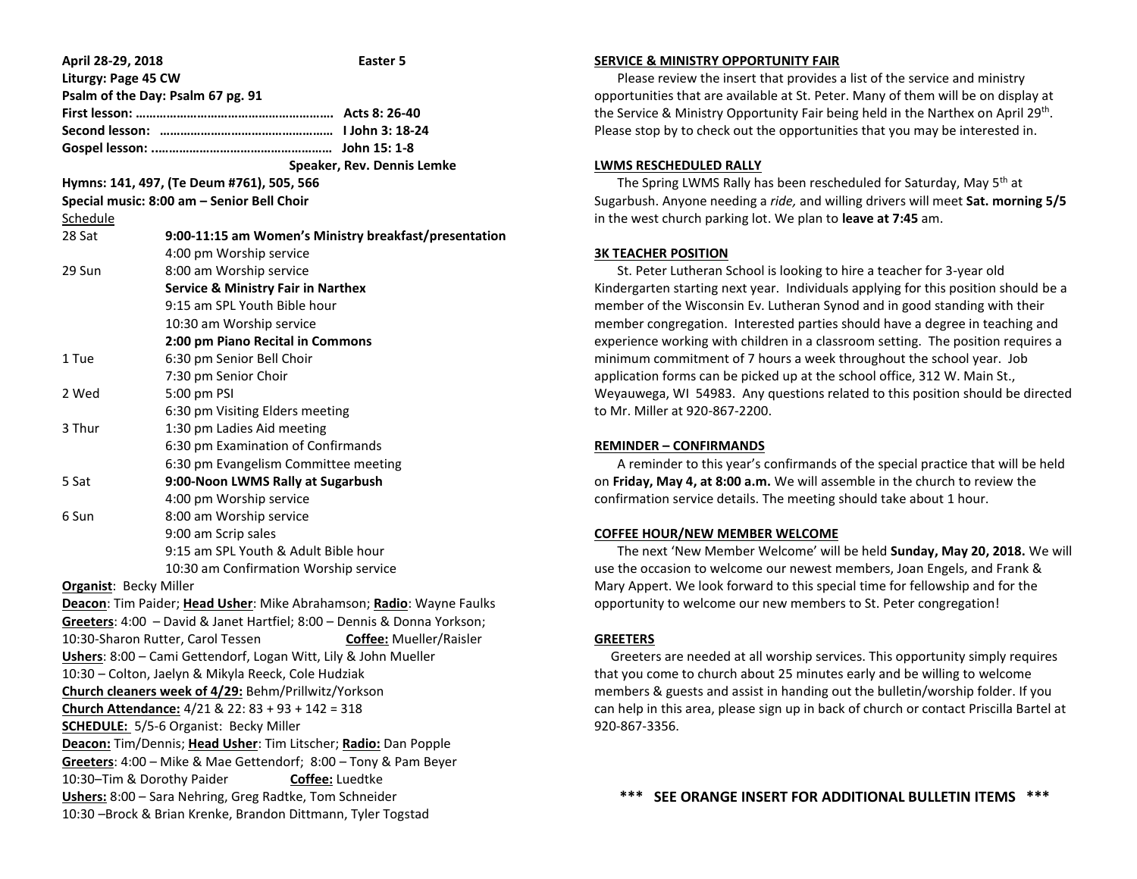| April 28-29, 2018                                                    | Easter 5                                                                |
|----------------------------------------------------------------------|-------------------------------------------------------------------------|
| Liturgy: Page 45 CW                                                  |                                                                         |
|                                                                      | Psalm of the Day: Psalm 67 pg. 91                                       |
|                                                                      |                                                                         |
|                                                                      |                                                                         |
|                                                                      |                                                                         |
|                                                                      | Speaker, Rev. Dennis Lemke                                              |
| Hymns: 141, 497, (Te Deum #761), 505, 566                            |                                                                         |
|                                                                      | Special music: 8:00 am - Senior Bell Choir                              |
| Schedule                                                             |                                                                         |
| 28 Sat                                                               | 9:00-11:15 am Women's Ministry breakfast/presentation                   |
|                                                                      | 4:00 pm Worship service                                                 |
| 29 Sun                                                               | 8:00 am Worship service                                                 |
|                                                                      | <b>Service &amp; Ministry Fair in Narthex</b>                           |
|                                                                      | 9:15 am SPL Youth Bible hour                                            |
|                                                                      | 10:30 am Worship service                                                |
|                                                                      | 2:00 pm Piano Recital in Commons                                        |
| 1 Tue                                                                | 6:30 pm Senior Bell Choir                                               |
|                                                                      | 7:30 pm Senior Choir                                                    |
| 2 Wed                                                                | 5:00 pm PSI                                                             |
|                                                                      | 6:30 pm Visiting Elders meeting                                         |
| 3 Thur                                                               | 1:30 pm Ladies Aid meeting                                              |
|                                                                      | 6:30 pm Examination of Confirmands                                      |
|                                                                      | 6:30 pm Evangelism Committee meeting                                    |
| 5 Sat                                                                | 9:00-Noon LWMS Rally at Sugarbush                                       |
|                                                                      | 4:00 pm Worship service                                                 |
| 6 Sun                                                                | 8:00 am Worship service                                                 |
|                                                                      | 9:00 am Scrip sales                                                     |
|                                                                      | 9:15 am SPL Youth & Adult Bible hour                                    |
|                                                                      | 10:30 am Confirmation Worship service                                   |
| <b>Organist: Becky Miller</b>                                        |                                                                         |
| Deacon: Tim Paider; Head Usher: Mike Abrahamson; Radio: Wayne Faulks |                                                                         |
|                                                                      | Greeters: 4:00 - David & Janet Hartfiel; 8:00 - Dennis & Donna Yorkson; |
|                                                                      | 10:30-Sharon Rutter, Carol Tessen<br><b>Coffee:</b> Mueller/Raisler     |
|                                                                      | Ushers: 8:00 - Cami Gettendorf, Logan Witt, Lily & John Mueller         |
| 10:30 - Colton, Jaelyn & Mikyla Reeck, Cole Hudziak                  |                                                                         |
| Church cleaners week of 4/29: Behm/Prillwitz/Yorkson                 |                                                                         |
| Church Attendance: $4/21$ & 22: 83 + 93 + 142 = 318                  |                                                                         |
| <b>SCHEDULE:</b> 5/5-6 Organist: Becky Miller                        |                                                                         |
| Deacon: Tim/Dennis; Head Usher: Tim Litscher; Radio: Dan Popple      |                                                                         |
| Greeters: 4:00 - Mike & Mae Gettendorf; 8:00 - Tony & Pam Beyer      |                                                                         |
| 10:30-Tim & Dorothy Paider<br>Coffee: Luedtke                        |                                                                         |
| Ushers: 8:00 - Sara Nehring, Greg Radtke, Tom Schneider              |                                                                         |
| 10:30 -Brock & Brian Krenke, Brandon Dittmann, Tyler Togstad         |                                                                         |

## **SERVICE & MINISTRY OPPORTUNITY FAIR**

 Please review the insert that provides a list of the service and ministry opportunities that are available at St. Peter. Many of them will be on display at the Service & Ministry Opportunity Fair being held in the Narthex on April 29<sup>th</sup>. Please stop by to check out the opportunities that you may be interested in.

### **LWMS RESCHEDULED RALLY**

The Spring LWMS Rally has been rescheduled for Saturday, May 5<sup>th</sup> at Sugarbush. Anyone needing a *ride,* and willing drivers will meet **Sat. morning 5/5** in the west church parking lot. We plan to **leave at 7:45** am.

## **3K TEACHER POSITION**

 St. Peter Lutheran School is looking to hire a teacher for 3-year old Kindergarten starting next year. Individuals applying for this position should be a member of the Wisconsin Ev. Lutheran Synod and in good standing with their member congregation. Interested parties should have a degree in teaching and experience working with children in a classroom setting. The position requires a minimum commitment of 7 hours a week throughout the school year. Job application forms can be picked up at the school office, 312 W. Main St., Weyauwega, WI 54983. Any questions related to this position should be directed to Mr. Miller at 920-867-2200.

### **REMINDER – CONFIRMANDS**

 A reminder to this year's confirmands of the special practice that will be held on **Friday, May 4, at 8:00 a.m.** We will assemble in the church to review the confirmation service details. The meeting should take about 1 hour.

## **COFFEE HOUR/NEW MEMBER WELCOME**

 The next 'New Member Welcome' will be held **Sunday, May 20, 2018.** We will use the occasion to welcome our newest members, Joan Engels, and Frank & Mary Appert. We look forward to this special time for fellowship and for the opportunity to welcome our new members to St. Peter congregation!

## **GREETERS**

 Greeters are needed at all worship services. This opportunity simply requires that you come to church about 25 minutes early and be willing to welcome members & guests and assist in handing out the bulletin/worship folder. If you can help in this area, please sign up in back of church or contact Priscilla Bartel at 920-867-3356.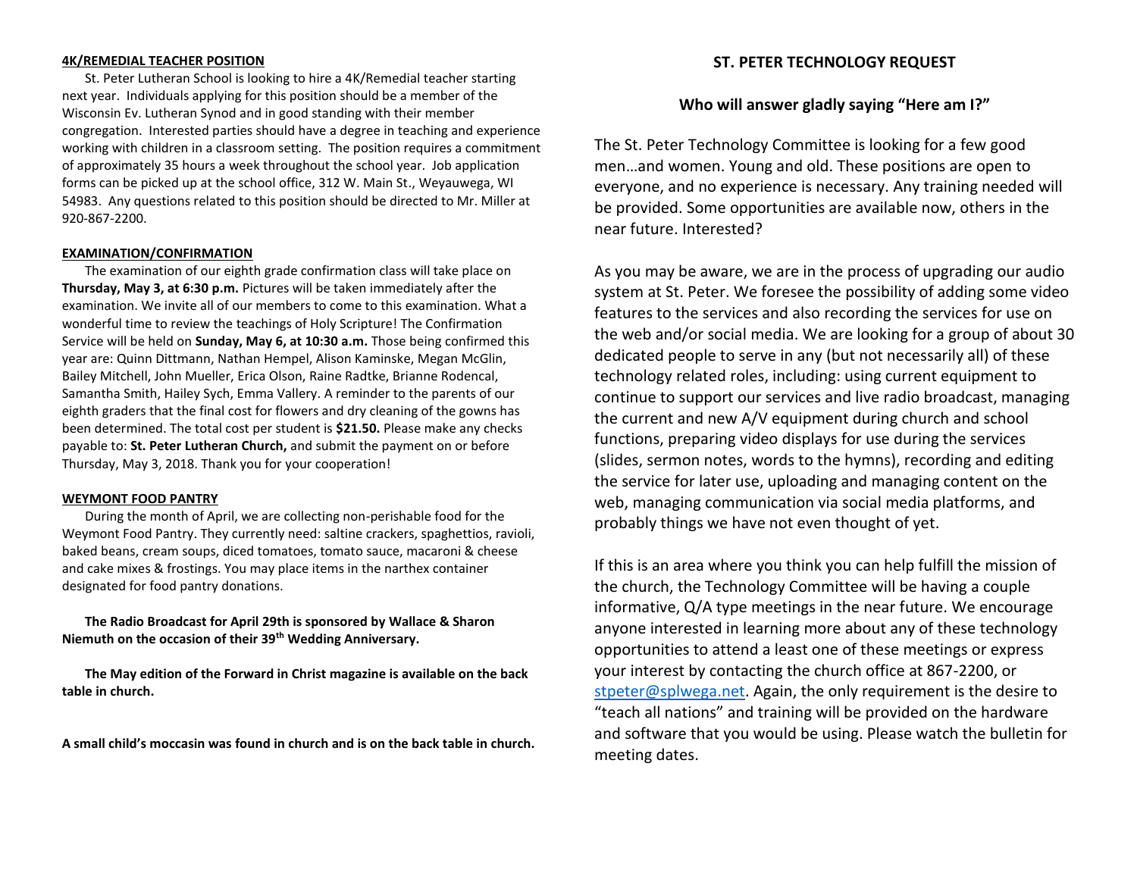# **4K/REMEDIAL TEACHER POSITION**

 St. Peter Lutheran School is looking to hire a 4K/Remedial teacher starting next year. Individuals applying for this position should be a member of the Wisconsin Ev. Lutheran Synod and in good standing with their member congregation. Interested parties should have a degree in teaching and experience working with children in a classroom setting. The position requires a commitment of approximately 35 hours a week throughout the school year. Job application forms can be picked up at the school office, 312 W. Main St., Weyauwega, WI 54983. Any questions related to this position should be directed to Mr. Miller at 920-867-2200.

# **EXAMINATION/CONFIRMATION**

 The examination of our eighth grade confirmation class will take place on **Thursday, May 3, at 6:30 p.m.** Pictures will be taken immediately after the examination. We invite all of our members to come to this examination. What a wonderful time to review the teachings of Holy Scripture! The Confirmation Service will be held on **Sunday, May 6, at 10:30 a.m.** Those being confirmed this year are: Quinn Dittmann, Nathan Hempel, Alison Kaminske, Megan McGlin, Bailey Mitchell, John Mueller, Erica Olson, Raine Radtke, Brianne Rodencal, Samantha Smith, Hailey Sych, Emma Vallery. A reminder to the parents of our eighth graders that the final cost for flowers and dry cleaning of the gowns has been determined. The total cost per student is **\$21.50.** Please make any checks payable to: **St. Peter Lutheran Church,** and submit the payment on or before Thursday, May 3, 2018. Thank you for your cooperation!

# **WEYMONT FOOD PANTRY**

 During the month of April, we are collecting non-perishable food for the Weymont Food Pantry. They currently need: saltine crackers, spaghettios, ravioli, baked beans, cream soups, diced tomatoes, tomato sauce, macaroni & cheese and cake mixes & frostings. You may place items in the narthex container designated for food pantry donations.

 **The Radio Broadcast for April 29th is sponsored by Wallace & Sharon Niemuth on the occasion of their 39th Wedding Anniversary.**

 **The May edition of the Forward in Christ magazine is available on the back table in church.**

**A small child's moccasin was found in church and is on the back table in church.**

# **ST. PETER TECHNOLOGY REQUEST**

# **Who will answer gladly saying "Here am I?"**

The St. Peter Technology Committee is looking for a few good men…and women. Young and old. These positions are open to everyone, and no experience is necessary. Any training needed will be provided. Some opportunities are available now, others in the near future. Interested?

As you may be aware, we are in the process of upgrading our audio system at St. Peter. We foresee the possibility of adding some video features to the services and also recording the services for use on the web and/or social media. We are looking for a group of about 30 dedicated people to serve in any (but not necessarily all) of these technology related roles, including: using current equipment to continue to support our services and live radio broadcast, managing the current and new A/V equipment during church and school functions, preparing video displays for use during the services (slides, sermon notes, words to the hymns), recording and editing the service for later use, uploading and managing content on the web, managing communication via social media platforms, and probably things we have not even thought of yet.

If this is an area where you think you can help fulfill the mission of the church, the Technology Committee will be having a couple informative, Q/A type meetings in the near future. We encourage anyone interested in learning more about any of these technology opportunities to attend a least one of these meetings or express your interest by contacting the church office at 867-2200, or [stpeter@splwega.net.](mailto:stpeter@splwega.net) Again, the only requirement is the desire to "teach all nations" and training will be provided on the hardware and software that you would be using. Please watch the bulletin for meeting dates.